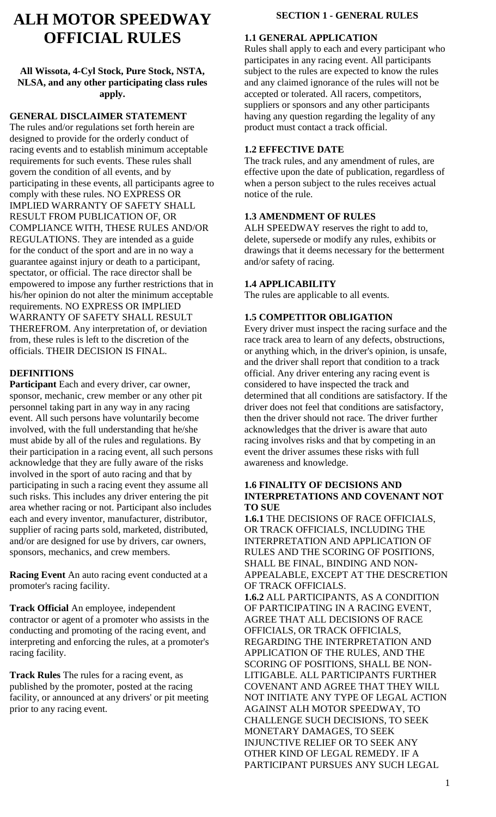# **ALH MOTOR SPEEDWAY OFFICIAL RULES**

## **All Wissota, 4-Cyl Stock, Pure Stock, NSTA, NLSA, and any other participating class rules apply.**

### **GENERAL DISCLAIMER STATEMENT**

The rules and/or regulations set forth herein are designed to provide for the orderly conduct of racing events and to establish minimum acceptable requirements for such events. These rules shall govern the condition of all events, and by participating in these events, all participants agree to comply with these rules. NO EXPRESS OR IMPLIED WARRANTY OF SAFETY SHALL RESULT FROM PUBLICATION OF, OR COMPLIANCE WITH, THESE RULES AND/OR REGULATIONS. They are intended as a guide for the conduct of the sport and are in no way a guarantee against injury or death to a participant, spectator, or official. The race director shall be empowered to impose any further restrictions that in his/her opinion do not alter the minimum acceptable requirements. NO EXPRESS OR IMPLIED WARRANTY OF SAFETY SHALL RESULT THEREFROM. Any interpretation of, or deviation from, these rules is left to the discretion of the officials. THEIR DECISION IS FINAL.

#### **DEFINITIONS**

**Participant** Each and every driver, car owner, sponsor, mechanic, crew member or any other pit personnel taking part in any way in any racing event. All such persons have voluntarily become involved, with the full understanding that he/she must abide by all of the rules and regulations. By their participation in a racing event, all such persons acknowledge that they are fully aware of the risks involved in the sport of auto racing and that by participating in such a racing event they assume all such risks. This includes any driver entering the pit area whether racing or not. Participant also includes each and every inventor, manufacturer, distributor, supplier of racing parts sold, marketed, distributed, and/or are designed for use by drivers, car owners, sponsors, mechanics, and crew members.

**Racing Event** An auto racing event conducted at a promoter's racing facility.

**Track Official** An employee, independent contractor or agent of a promoter who assists in the conducting and promoting of the racing event, and interpreting and enforcing the rules, at a promoter's racing facility.

**Track Rules** The rules for a racing event, as published by the promoter, posted at the racing facility, or announced at any drivers' or pit meeting prior to any racing event.

## **SECTION 1 - GENERAL RULES**

#### **1.1 GENERAL APPLICATION**

Rules shall apply to each and every participant who participates in any racing event. All participants subject to the rules are expected to know the rules and any claimed ignorance of the rules will not be accepted or tolerated. All racers, competitors, suppliers or sponsors and any other participants having any question regarding the legality of any product must contact a track official.

## **1.2 EFFECTIVE DATE**

The track rules, and any amendment of rules, are effective upon the date of publication, regardless of when a person subject to the rules receives actual notice of the rule.

## **1.3 AMENDMENT OF RULES**

ALH SPEEDWAY reserves the right to add to, delete, supersede or modify any rules, exhibits or drawings that it deems necessary for the betterment and/or safety of racing.

## **1.4 APPLICABILITY**

The rules are applicable to all events.

## **1.5 COMPETITOR OBLIGATION**

Every driver must inspect the racing surface and the race track area to learn of any defects, obstructions, or anything which, in the driver's opinion, is unsafe, and the driver shall report that condition to a track official. Any driver entering any racing event is considered to have inspected the track and determined that all conditions are satisfactory. If the driver does not feel that conditions are satisfactory, then the driver should not race. The driver further acknowledges that the driver is aware that auto racing involves risks and that by competing in an event the driver assumes these risks with full awareness and knowledge.

#### **1.6 FINALITY OF DECISIONS AND INTERPRETATIONS AND COVENANT NOT TO SUE**

**1.6.1** THE DECISIONS OF RACE OFFICIALS, OR TRACK OFFICIALS, INCLUDING THE INTERPRETATION AND APPLICATION OF RULES AND THE SCORING OF POSITIONS, SHALL BE FINAL, BINDING AND NON-APPEALABLE, EXCEPT AT THE DESCRETION OF TRACK OFFICIALS.

**1.6.2** ALL PARTICIPANTS, AS A CONDITION OF PARTICIPATING IN A RACING EVENT, AGREE THAT ALL DECISIONS OF RACE OFFICIALS, OR TRACK OFFICIALS, REGARDING THE INTERPRETATION AND APPLICATION OF THE RULES, AND THE SCORING OF POSITIONS, SHALL BE NON-LITIGABLE. ALL PARTICIPANTS FURTHER COVENANT AND AGREE THAT THEY WILL NOT INITIATE ANY TYPE OF LEGAL ACTION AGAINST ALH MOTOR SPEEDWAY, TO CHALLENGE SUCH DECISIONS, TO SEEK MONETARY DAMAGES, TO SEEK INJUNCTIVE RELIEF OR TO SEEK ANY OTHER KIND OF LEGAL REMEDY. IF A PARTICIPANT PURSUES ANY SUCH LEGAL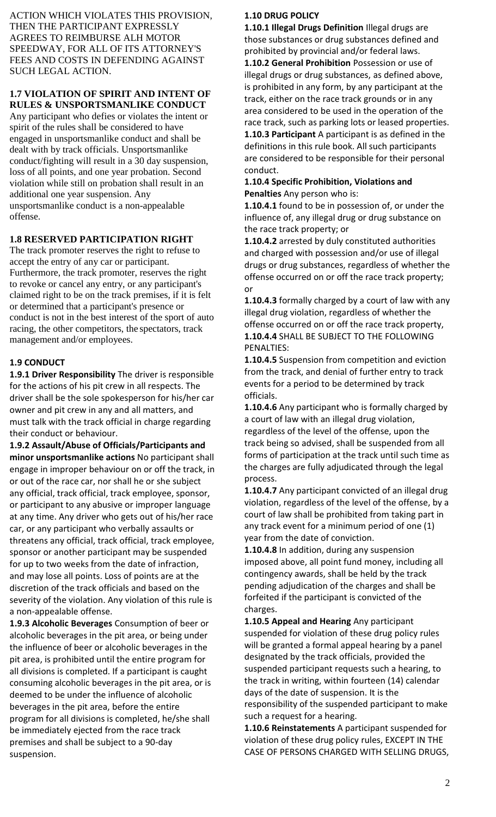ACTION WHICH VIOLATES THIS PROVISION, THEN THE PARTICIPANT EXPRESSLY AGREES TO REIMBURSE ALH MOTOR SPEEDWAY, FOR ALL OF ITS ATTORNEY'S FEES AND COSTS IN DEFENDING AGAINST SUCH LEGAL ACTION.

## **1.7 VIOLATION OF SPIRIT AND INTENT OF RULES & UNSPORTSMANLIKE CONDUCT**

Any participant who defies or violates the intent or spirit of the rules shall be considered to have engaged in unsportsmanlike conduct and shall be dealt with by track officials. Unsportsmanlike conduct/fighting will result in a 30 day suspension, loss of all points, and one year probation. Second violation while still on probation shall result in an additional one year suspension. Any unsportsmanlike conduct is a non-appealable offense.

# **1.8 RESERVED PARTICIPATION RIGHT**

The track promoter reserves the right to refuse to accept the entry of any car or participant. Furthermore, the track promoter, reserves the right to revoke or cancel any entry, or any participant's claimed right to be on the track premises, if it is felt or determined that a participant's presence or conduct is not in the best interest of the sport of auto racing, the other competitors, the spectators, track management and/or employees.

# **1.9 CONDUCT**

**1.9.1 Driver Responsibility** The driver is responsible for the actions of his pit crew in all respects. The driver shall be the sole spokesperson for his/her car owner and pit crew in any and all matters, and must talk with the track official in charge regarding their conduct or behaviour.

**1.9.2 Assault/Abuse of Officials/Participants and minor unsportsmanlike actions** No participant shall engage in improper behaviour on or off the track, in or out of the race car, nor shall he or she subject any official, track official, track employee, sponsor, or participant to any abusive or improper language at any time. Any driver who gets out of his/her race car, or any participant who verbally assaults or threatens any official, track official, track employee, sponsor or another participant may be suspended for up to two weeks from the date of infraction, and may lose all points. Loss of points are at the discretion of the track officials and based on the severity of the violation. Any violation of this rule is a non-appealable offense.

**1.9.3 Alcoholic Beverages** Consumption of beer or alcoholic beverages in the pit area, or being under the influence of beer or alcoholic beverages in the pit area, is prohibited until the entire program for all divisions is completed. If a participant is caught consuming alcoholic beverages in the pit area, or is deemed to be under the influence of alcoholic beverages in the pit area, before the entire program for all divisions is completed, he/she shall be immediately ejected from the race track premises and shall be subject to a 90-day suspension.

## **1.10 DRUG POLICY**

**1.10.1 Illegal Drugs Definition** Illegal drugs are those substances or drug substances defined and prohibited by provincial and/or federal laws. **1.10.2 General Prohibition** Possession or use of illegal drugs or drug substances, as defined above, is prohibited in any form, by any participant at the track, either on the race track grounds or in any area considered to be used in the operation of the race track, such as parking lots or leased properties. **1.10.3 Participant** A participant is as defined in the definitions in this rule book. All such participants are considered to be responsible for their personal conduct.

#### **1.10.4 Specific Prohibition, Violations and Penalties** Any person who is:

**1.10.4.1** found to be in possession of, or under the influence of, any illegal drug or drug substance on the race track property; or

**1.10.4.2** arrested by duly constituted authorities and charged with possession and/or use of illegal drugs or drug substances, regardless of whether the offense occurred on or off the race track property; or

**1.10.4.3** formally charged by a court of law with any illegal drug violation, regardless of whether the offense occurred on or off the race track property, **1.10.4.4** SHALL BE SUBJECT TO THE FOLLOWING PENALTIES:

**1.10.4.5** Suspension from competition and eviction from the track, and denial of further entry to track events for a period to be determined by track officials.

**1.10.4.6** Any participant who is formally charged by a court of law with an illegal drug violation, regardless of the level of the offense, upon the track being so advised, shall be suspended from all forms of participation at the track until such time as the charges are fully adjudicated through the legal process.

**1.10.4.7** Any participant convicted of an illegal drug violation, regardless of the level of the offense, by a court of law shall be prohibited from taking part in any track event for a minimum period of one (1) year from the date of conviction.

**1.10.4.8** In addition, during any suspension imposed above, all point fund money, including all contingency awards, shall be held by the track pending adjudication of the charges and shall be forfeited if the participant is convicted of the charges.

**1.10.5 Appeal and Hearing** Any participant suspended for violation of these drug policy rules will be granted a formal appeal hearing by a panel designated by the track officials, provided the suspended participant requests such a hearing, to the track in writing, within fourteen (14) calendar days of the date of suspension. It is the responsibility of the suspended participant to make such a request for a hearing.

**1.10.6 Reinstatements** A participant suspended for violation of these drug policy rules, EXCEPT IN THE CASE OF PERSONS CHARGED WITH SELLING DRUGS,